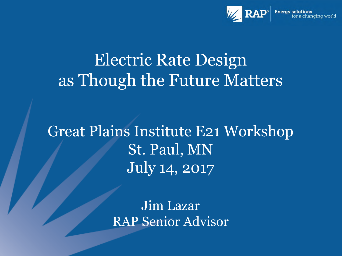

#### Electric Rate Design as Though the Future Matters

Great Plains Institute E21 Workshop St. Paul, MN July 14, 2017

> Jim Lazar RAP Senior Advisor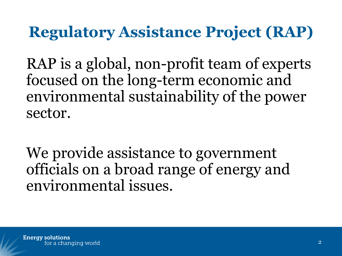#### **Regulatory Assistance Project (RAP)**

RAP is a global, non-profit team of experts focused on the long-term economic and environmental sustainability of the power sector.

We provide assistance to government officials on a broad range of energy and environmental issues.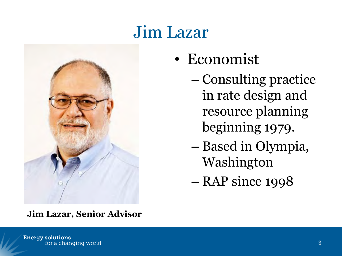#### Jim Lazar



- Economist
	- Consulting practice in rate design and resource planning beginning 1979.
	- Based in Olympia, Washington
	- RAP since 1998

**Jim Lazar, Senior Advisor**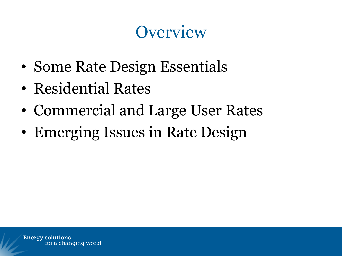#### **Overview**

- Some Rate Design Essentials
- Residential Rates
- Commercial and Large User Rates
- Emerging Issues in Rate Design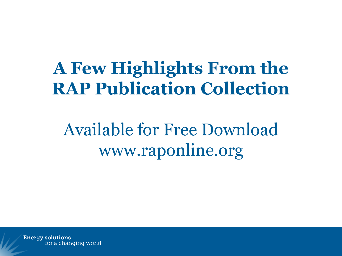#### **A Few Highlights From the RAP Publication Collection**

Available for Free Download www.raponline.org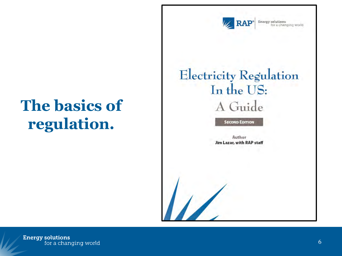

Energy solutions<br>for a changing world

#### **The basics of regulation.**

#### **Electricity Regulation** In the US: A Guide

**SECOND EDITION** 

Author Jim Lazar, with RAP staff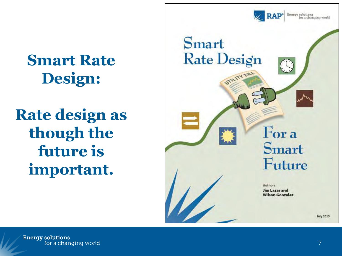

**Smart Rate Design:**

**Rate design as though the future is important.**

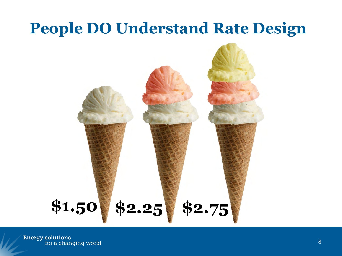#### **People DO Understand Rate Design**

# **\$1.50 \$2.25 \$2.75**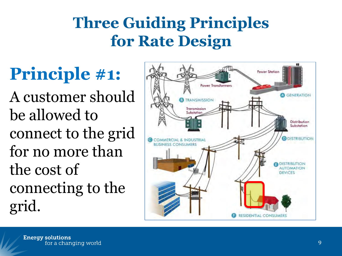#### **Three Guiding Principles for Rate Design**

#### **Principle #1:**

A customer should be allowed to connect to the grid for no more than the cost of connecting to the grid.

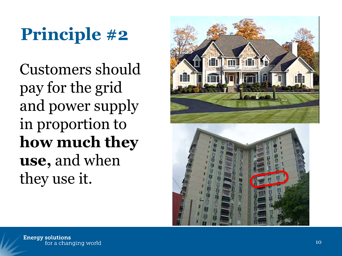## **Principle #2**

Customers should pay for the grid and power supply in proportion to **how much they use,** and when they use it.

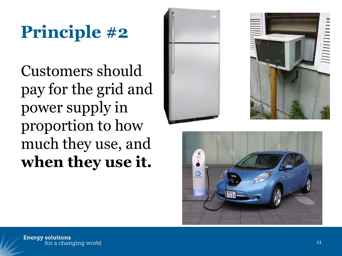## **Principle #2**

Customers should pay for the grid and power supply in proportion to how much they use, and **when they use it.** 





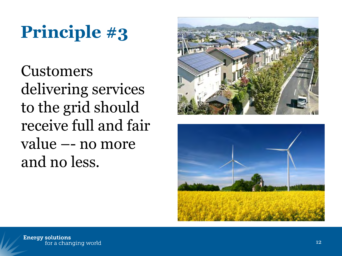## **Principle #3**

Customers delivering services to the grid should receive full and fair value –- no more and no less.



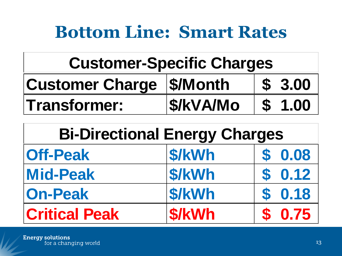#### **Bottom Line: Smart Rates**

| <b>Customer Charge   \$/Month</b> |                 | \$3.00 |
|-----------------------------------|-----------------|--------|
| <b>Transformer:</b>               | <b>S/kVA/Mo</b> | \$1.00 |

| <b>Customer-Specific Charges</b>     |                  |                           |      |  |  |  |
|--------------------------------------|------------------|---------------------------|------|--|--|--|
| <b>Customer Charge</b>               | \$/Month         | $\mathbf{S}$              | 3.00 |  |  |  |
| <b>Transformer:</b>                  | <b>\$/kVA/Mo</b> | $\boldsymbol{\mathsf{S}}$ | 1.00 |  |  |  |
| <b>Bi-Directional Energy Charges</b> |                  |                           |      |  |  |  |
|                                      |                  |                           |      |  |  |  |
| <b>Off-Peak</b>                      | \$/kWh           |                           | 0.08 |  |  |  |
| <b>Mid-Peak</b>                      | \$/kWh           | S                         | 0.12 |  |  |  |
| <b>On-Peak</b>                       | \$/kWh           | S                         | 0.18 |  |  |  |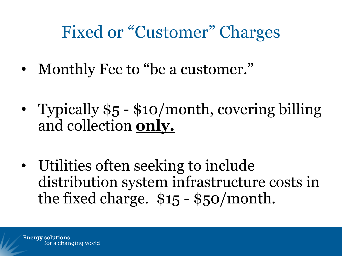#### Fixed or "Customer" Charges

- Monthly Fee to "be a customer."
- Typically \$5 \$10/month, covering billing and collection **only.**
- Utilities often seeking to include distribution system infrastructure costs in the fixed charge. \$15 - \$50/month.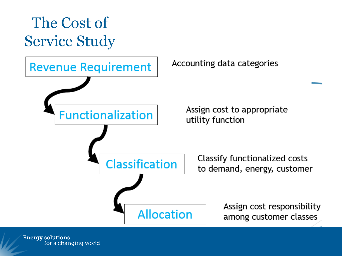

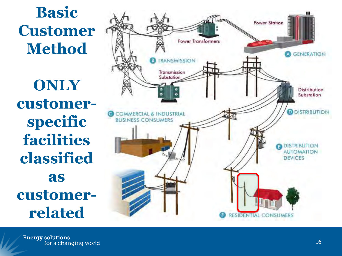#### **Basic Customer Method**

**ONLY customer specific facilities classified as customer related**

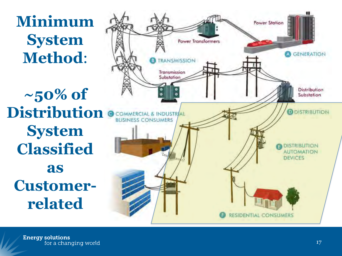**Minimum System Method**:

**~50% of Distribution System Classified as Customer related**

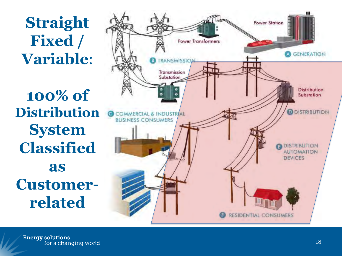**Straight Fixed / Variable**:

**100% of Distribution System Classified as Customer related**

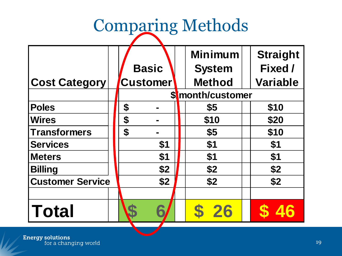# Comparing Methods

|                         |    |                 |  | <b>Minimum</b>   | <b>Straight</b> |  |  |  |
|-------------------------|----|-----------------|--|------------------|-----------------|--|--|--|
|                         |    | <b>Basic</b>    |  | <b>System</b>    | Fixed /         |  |  |  |
| <b>Cost Category</b>    |    | <b>Customer</b> |  | <b>Method</b>    | <b>Variable</b> |  |  |  |
|                         |    |                 |  | \$month/customer |                 |  |  |  |
| <b>Poles</b>            | \$ |                 |  | \$5              | \$10            |  |  |  |
| <b>Wires</b>            | \$ |                 |  | \$10             | \$20            |  |  |  |
| <b>Transformers</b>     | \$ |                 |  | \$5              | \$10            |  |  |  |
| <b>Services</b>         |    | \$1             |  | \$1              | \$1             |  |  |  |
| <b>Meters</b>           |    | \$1             |  | \$1              | \$1             |  |  |  |
| <b>Billing</b>          |    | \$2             |  | \$2              | \$2             |  |  |  |
| <b>Customer Service</b> |    | \$2             |  | \$2              | \$2             |  |  |  |
|                         |    |                 |  |                  |                 |  |  |  |
| Total                   |    |                 |  | 26               |                 |  |  |  |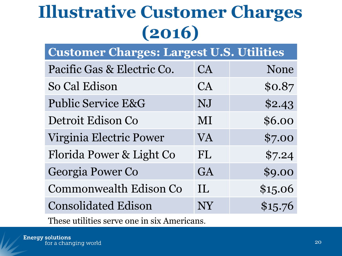#### **Illustrative Customer Charges (2016)**

| <b>Customer Charges: Largest U.S. Utilities</b> |  |  |
|-------------------------------------------------|--|--|
|                                                 |  |  |

| Pacific Gas & Electric Co. | CA        | None    |
|----------------------------|-----------|---------|
| So Cal Edison              | CA        | \$0.87  |
| Public Service E&G         | NJ        | \$2.43  |
| Detroit Edison Co          | MI        | \$6.00  |
| Virginia Electric Power    | <b>VA</b> | \$7.00  |
| Florida Power & Light Co   | <b>FL</b> | \$7.24  |
| Georgia Power Co           | GA        | \$9.00  |
| Commonwealth Edison Co     | IL        | \$15.06 |
| <b>Consolidated Edison</b> | NY        | \$15.76 |
|                            |           |         |

These utilities serve one in six Americans.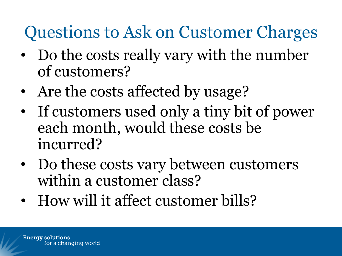#### Questions to Ask on Customer Charges

- Do the costs really vary with the number of customers?
- Are the costs affected by usage?
- If customers used only a tiny bit of power each month, would these costs be incurred?
- Do these costs vary between customers within a customer class?
- How will it affect customer bills?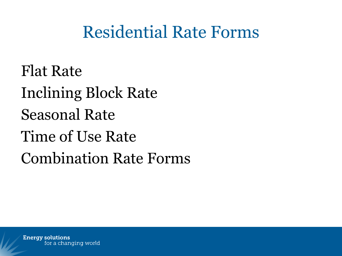#### Residential Rate Forms

Flat Rate Inclining Block Rate Seasonal Rate Time of Use Rate Combination Rate Forms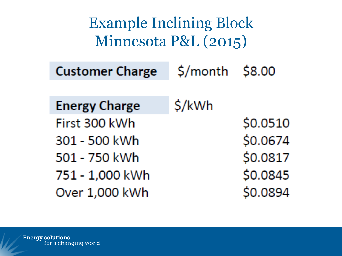Example Inclining Block Minnesota P&L (2015)\$/month \$8.00 **Customer Charge** \$/kWh **Energy Charge** \$0.0510 First 300 kWh \$0.0674 301 - 500 kWh \$0.0817 501 - 750 kWh \$0.0845 751 - 1,000 kWh \$0.0894 Over 1,000 kWh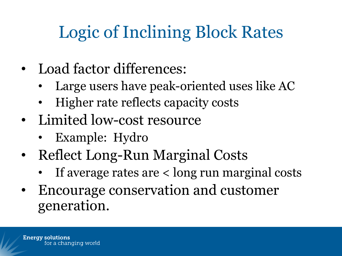### Logic of Inclining Block Rates

- Load factor differences:
	- Large users have peak-oriented uses like AC
	- Higher rate reflects capacity costs
- Limited low-cost resource
	- Example: Hydro
- Reflect Long-Run Marginal Costs
	- If average rates are < long run marginal costs
- Encourage conservation and customer generation.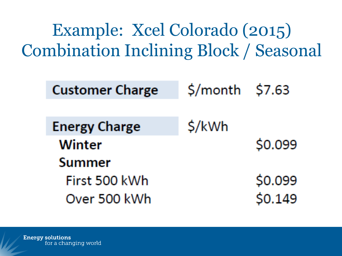Example: Xcel Colorado (2015) Combination Inclining Block / Seasonal

| <b>Customer Charge</b> | $$/month$ \$7.63 |         |
|------------------------|------------------|---------|
| <b>Energy Charge</b>   | \$/kWh           |         |
| <b>Winter</b>          |                  | \$0.099 |
| <b>Summer</b>          |                  |         |
| First 500 kWh          |                  | \$0.099 |
| Over 500 kWh           |                  | \$0.149 |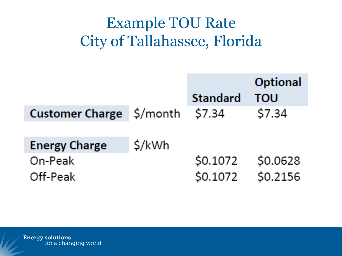#### Example TOU Rate City of Tallahassee, Florida

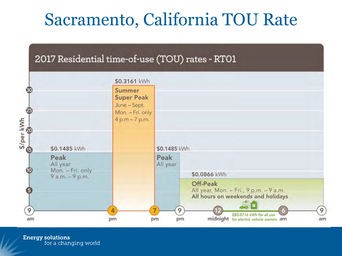#### Sacramento, California TOU Rate

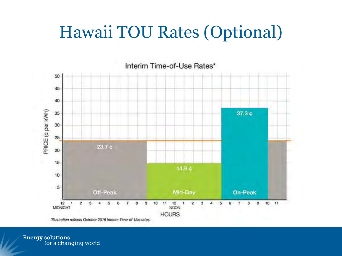#### Hawaii TOU Rates (Optional)



\*Illustration reflects October 2016 Interim Time-of-Use rates.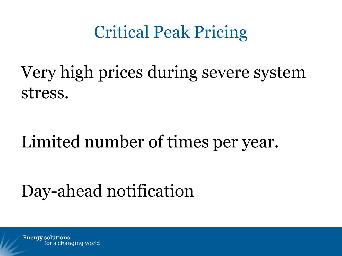#### Critical Peak Pricing

Very high prices during severe system stress.

#### Limited number of times per year.

#### Day-ahead notification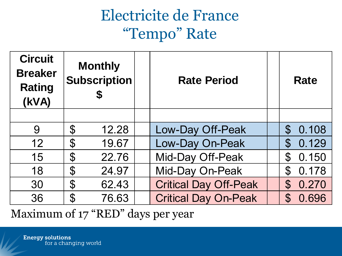#### Electricite de France "Tempo" Rate

| <b>Circuit</b><br><b>Breaker</b><br><b>Rating</b><br>(kVA) | <b>Monthly</b><br><b>Subscription</b> | <b>Rate Period</b>           | Rate                          |
|------------------------------------------------------------|---------------------------------------|------------------------------|-------------------------------|
|                                                            |                                       |                              |                               |
| 9                                                          | $\boldsymbol{\mathsf{S}}$<br>12.28    | Low-Day Off-Peak             | $\mathcal{C}$<br>0.108        |
| 12                                                         | $\boldsymbol{\varphi}$<br>19.67       | Low-Day On-Peak              | 0.129<br>$\mathbf{\$}$        |
| 15                                                         | \$<br>22.76                           | Mid-Day Off-Peak             | 0.150<br>$\mathfrak{F}% _{0}$ |
| 18                                                         | $\boldsymbol{\varphi}$<br>24.97       | Mid-Day On-Peak              | 0.178<br>$\mathcal{C}$        |
| 30                                                         | \$<br>62.43                           | <b>Critical Day Off-Peak</b> | 0.270<br>$\mathfrak{P}$       |
| 36                                                         | $\mathcal{P}$<br>76.63                | <b>Critical Day On-Peak</b>  | 0.696<br>$\mathcal{C}$        |
|                                                            | Mayimum of $17$ "RED" dave per vear   |                              |                               |

Maximum of 17 "RED" days per year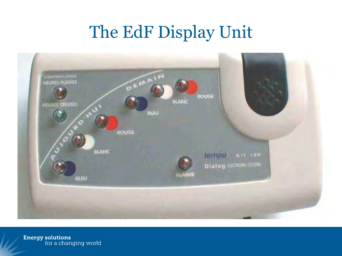#### The EdF Display Unit

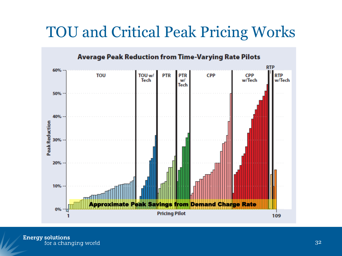#### TOU and Critical Peak Pricing Works

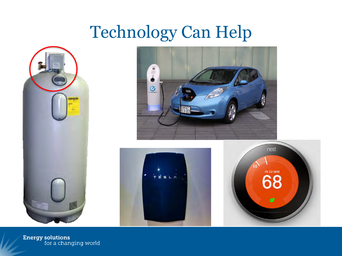#### Technology Can Help







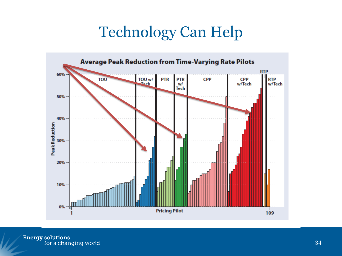#### Technology Can Help

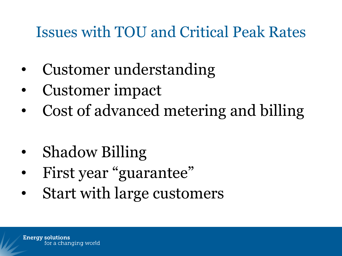#### Issues with TOU and Critical Peak Rates

- Customer understanding
- Customer impact
- Cost of advanced metering and billing
- Shadow Billing
- First year "guarantee"
- Start with large customers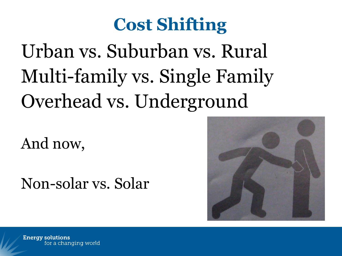### **Cost Shifting**

# Urban vs. Suburban vs. Rural Multi-family vs. Single Family Overhead vs. Underground

And now,

Non-solar vs. Solar

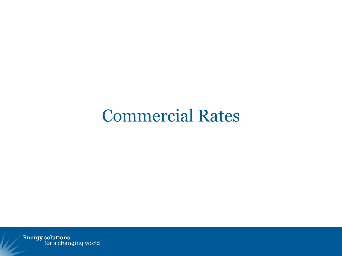#### Commercial Rates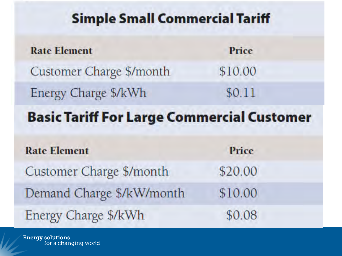#### **Simple Small Commercial Tariff**

| <b>Rate Element</b>                               | Price   |
|---------------------------------------------------|---------|
| Customer Charge \$/month                          | \$10.00 |
| Energy Charge \$/kWh                              | \$0.11  |
| <b>Basic Tariff For Large Commercial Customer</b> |         |
| <b>Rate Element</b>                               | Price   |
| Customer Charge \$/month                          | \$20.00 |
| Demand Charge \$/kW/month                         | \$10.00 |
| Energy Charge \$/kWh                              | \$0.08  |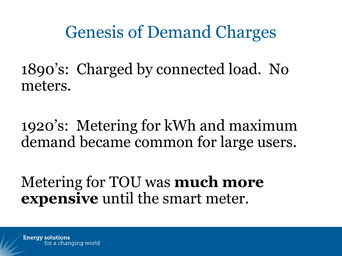Genesis of Demand Charges

1890's: Charged by connected load. No meters.

1920's: Metering for kWh and maximum demand became common for large users.

Metering for TOU was **much more expensive** until the smart meter.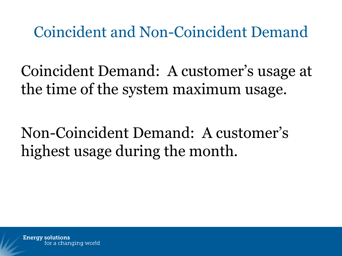Coincident and Non-Coincident Demand

Coincident Demand: A customer's usage at the time of the system maximum usage.

Non-Coincident Demand: A customer's highest usage during the month.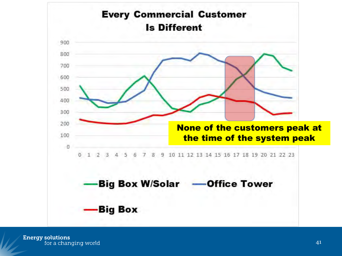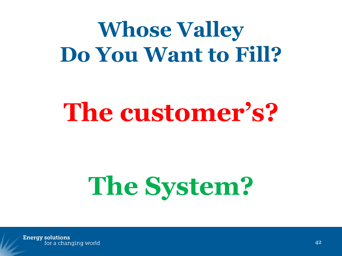# **Whose Valley Do You Want to Fill?**

# **The customer's?**

# **The System?**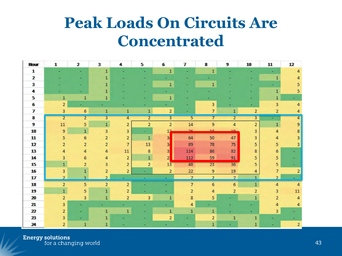#### **Peak Loads On Circuits Are Concentrated**

| Hour                       | 1              | 2               | 3                       | 4              | 5              | 6              | 7              | 8                       | 9              | 10                      | 11             | 12                      |
|----------------------------|----------------|-----------------|-------------------------|----------------|----------------|----------------|----------------|-------------------------|----------------|-------------------------|----------------|-------------------------|
| 1                          |                |                 | $\mathbf{1}$            |                |                | 1              |                | $\mathbf{1}$            |                |                         |                | 4                       |
| $\overline{\mathbf{z}}$    |                |                 | 1                       |                |                |                |                |                         |                |                         |                |                         |
| 3                          |                |                 | 1                       |                |                | $\mathbf{1}$   |                | $\mathbf{1}$            |                |                         |                | 5                       |
| 4                          |                |                 |                         |                |                |                |                |                         |                |                         | 1              | 5                       |
| 5                          | 1              | 1               | 1                       |                |                | $\mathbf{1}$   |                |                         |                |                         | 1              |                         |
| 6                          | 2              |                 |                         |                |                |                |                | 3                       |                |                         | 3              | 4                       |
| 7                          | 3              | $6\phantom{.0}$ | $\mathbf{1}$            | $\mathbf{1}$   | $\mathbf{1}$   | $\overline{2}$ |                | $\overline{7}$          | 1              | $\overline{\mathbf{2}}$ | 2              | 4                       |
| 8                          | $\overline{2}$ | $\overline{2}$  | 3                       | 4              | $\overline{2}$ | $\overline{3}$ | $\overline{5}$ | $\overline{7}$          | $\overline{2}$ | $\overline{3}$          |                | 4                       |
| 9                          | 11             | 5               | $\overline{1}$          | 2              | $\overline{2}$ | $\overline{2}$ | $14\,$         | $\overline{9}$          | 4              | $\overline{\mathbf{2}}$ | $\mathbf 1$    | $\overline{9}$          |
| 10                         | 9              | $\mathbf{1}$    | 3                       | 3              |                | 12             | nc.            | 10                      | 10             | 3                       | 4              | 8                       |
| 11                         | 5              | 6               | 2                       | $\overline{a}$ | $\mathbf{1}$   | 3              | 64             | 50                      | 47             | 3                       | 4              | 3                       |
| 12                         | 2              | 2               | $\overline{\mathbf{2}}$ | $\overline{7}$ | $13\,$         | 3              | 89             | 78                      | 75             | 5                       | 5              | 3                       |
| 13                         | 4              | 4               | 4                       | $11$           | $\bf8$         | 3              | 114            | 86                      | 82             | 8                       | 6              |                         |
| 14                         | 3              | 6               | 4                       | $\overline{2}$ | $\overline{1}$ | 2 <sub>1</sub> | 112            | 59                      | 91             | 5                       | 5              |                         |
| 15                         |                | 2               | 3                       | $\overline{a}$ | $\overline{2}$ | 13             | 48             | 23                      | 36             | 5                       | 5              |                         |
| 16                         | 3              | $\mathbf{1}$    | $\overline{\mathbf{2}}$ | $\overline{a}$ |                | $\overline{2}$ | 22             | 9                       | 19             | 4                       | 7              | $\overline{\mathbf{2}}$ |
| 17                         | $\overline{2}$ | 1               | $\overline{2}$          |                |                |                | $\overline{7}$ | $\overline{2}$          | $\overline{7}$ | $\mathbf{1}$            | $\overline{2}$ |                         |
| 18                         | $\overline{2}$ | 5               | $\overline{2}$          | $\overline{2}$ |                |                | $\overline{7}$ | 6                       | 6              | $\mathbf{1}$            | 4              | 4                       |
| 19                         | $\mathbf{1}$   | 5               | 1                       | 2              |                |                | 2              | 4                       | $\overline{2}$ | 2                       | 3              | 11                      |
| 20                         | $\overline{2}$ | 3               | 1                       | 2              | 3              |                | 8              | 5                       |                |                         | $\overline{2}$ | 4                       |
| 21                         | 3              |                 |                         |                |                |                | 4              |                         |                |                         | 4              | 4                       |
| $\boldsymbol{\mathcal{D}}$ | $\overline{2}$ |                 | П                       | 1              |                | 1              | 1              | 1                       |                |                         | 3              |                         |
| 23                         | 3              |                 |                         |                |                | 2              |                | $\overline{\mathbf{2}}$ |                | 1                       |                |                         |
| 24                         | 2              | 1               |                         |                |                |                |                | 1                       |                |                         |                | $\overline{2}$          |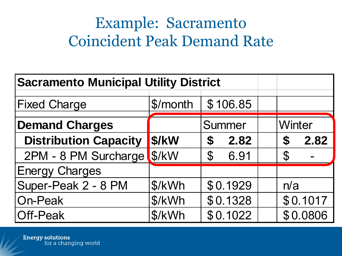#### Example: Sacramento Coincident Peak Demand Rate

| <b>Sacramento Municipal Utility District</b> |          |                           |  |                                                |
|----------------------------------------------|----------|---------------------------|--|------------------------------------------------|
| <b>Fixed Charge</b>                          | \$/month | \$106.85                  |  |                                                |
| <b>Demand Charges</b>                        |          | Summer                    |  | <b>Winter</b>                                  |
| <b>Distribution Capacity</b>                 | \$/kW    | 2.82<br>$\boldsymbol{\$}$ |  | 2.82<br>$\boldsymbol{\boldsymbol{\mathsf{S}}}$ |
| 2PM - 8 PM Surcharge                         | \$/kW    | $\mathbf 3$<br>6.91       |  | $\mathfrak{F}$                                 |
| <b>Energy Charges</b>                        |          |                           |  |                                                |
| Super-Peak 2 - 8 PM                          | \$/kWh   | \$0.1929                  |  | n/a                                            |
| On-Peak                                      | \$/kWh   | \$0.1328                  |  | \$0.1017                                       |
| Off-Peak                                     | \$/kWh   | \$0.1022                  |  | \$0.0806                                       |
|                                              |          |                           |  |                                                |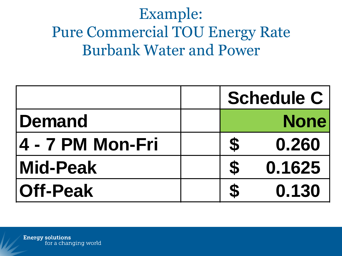#### Example: Pure Commercial TOU Energy Rate Burbank Water and Power

|                          |                            | <b>Schedule C</b> |
|--------------------------|----------------------------|-------------------|
| <b>Demand</b>            |                            | <b>None</b>       |
| <b>14 - 7 PM Mon-Fri</b> | $\boldsymbol{3}$           | 0.260             |
| <b>Mid-Peak</b>          | $\boldsymbol{\mathcal{Z}}$ | 0.1625            |
| <b>Off-Peak</b>          |                            | 0.130             |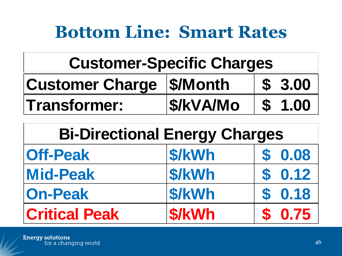#### **Bottom Line: Smart Rates**

| <b>Customer Charge   \$/Month</b> |                 | \$3.00 |
|-----------------------------------|-----------------|--------|
| <b>Transformer:</b>               | <b>S/kVA/Mo</b> | \$1.00 |

| <b>Customer-Specific Charges</b>     |                  |                           |                      |
|--------------------------------------|------------------|---------------------------|----------------------|
| <b>Customer Charge</b>               | \$/Month         | $\mathbf{S}$              | 3.00                 |
| <b>Transformer:</b>                  | <b>\$/kVA/Mo</b> | $\boldsymbol{\mathsf{S}}$ | 1.00                 |
|                                      |                  |                           |                      |
| <b>Bi-Directional Energy Charges</b> |                  |                           |                      |
| <b>Off-Peak</b>                      | \$/kWh           | \$                        |                      |
| <b>Mid-Peak</b>                      | \$/kWh           | S                         |                      |
| <b>On-Peak</b>                       | \$/kWh           | S                         | 0.08<br>0.12<br>0.18 |